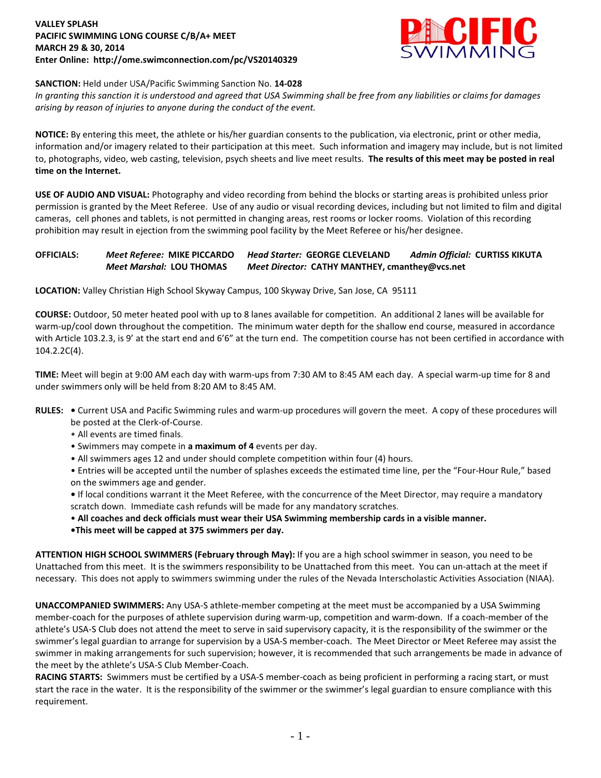## **VALLEY SPLASH PACIFIC SWIMMING LONG COURSE C/B/A+ MEET MARCH 29 & 30, 2014 Enter Online: http://ome.swimconnection.com/pc/VS20140329**



# **SANCTION:** Held under USA/Pacific Swimming Sanction No. **14-028**

*In granting this sanction it is understood and agreed that USA Swimming shall be free from any liabilities or claims for damages arising by reason of injuries to anyone during the conduct of the event.*

**NOTICE:** By entering this meet, the athlete or his/her guardian consents to the publication, via electronic, print or other media, information and/or imagery related to their participation at this meet. Such information and imagery may include, but is not limited to, photographs, video, web casting, television, psych sheets and live meet results. **The results of this meet may be posted in real time on the Internet.**

**USE OF AUDIO AND VISUAL:** Photography and video recording from behind the blocks or starting areas is prohibited unless prior permission is granted by the Meet Referee. Use of any audio or visual recording devices, including but not limited to film and digital cameras, cell phones and tablets, is not permitted in changing areas, rest rooms or locker rooms. Violation of this recording prohibition may result in ejection from the swimming pool facility by the Meet Referee or his/her designee.

# **OFFICIALS:** *Meet Referee:* **MIKE PICCARDO** *Head Starter:* **GEORGE CLEVELAND** *Admin Official:* **CURTISS KIKUTA** *Meet Marshal:* **LOU THOMAS** *Meet Director:* **CATHY MANTHEY, cmanthey@vcs.net**

**LOCATION:** Valley Christian High School Skyway Campus, 100 Skyway Drive, San Jose, CA 95111

**COURSE:** Outdoor, 50 meter heated pool with up to 8 lanes available for competition. An additional 2 lanes will be available for warm-up/cool down throughout the competition. The minimum water depth for the shallow end course, measured in accordance with Article 103.2.3, is 9' at the start end and 6'6" at the turn end. The competition course has not been certified in accordance with 104.2.2C(4).

**TIME:** Meet will begin at 9:00 AM each day with warm-ups from 7:30 AM to 8:45 AM each day. A special warm-up time for 8 and under swimmers only will be held from 8:20 AM to 8:45 AM.

- **RULES:** Current USA and Pacific Swimming rules and warm-up procedures will govern the meet. A copy of these procedures will be posted at the Clerk-of-Course.
	- All events are timed finals.
	- Swimmers may compete in **a maximum of 4** events per day.
	- All swimmers ages 12 and under should complete competition within four (4) hours.

• Entries will be accepted until the number of splashes exceeds the estimated time line, per the "Four-Hour Rule," based on the swimmers age and gender.

- If local conditions warrant it the Meet Referee, with the concurrence of the Meet Director, may require a mandatory scratch down. Immediate cash refunds will be made for any mandatory scratches.
- **All coaches and deck officials must wear their USA Swimming membership cards in a visible manner.**
- **•This meet will be capped at 375 swimmers per day.**

**ATTENTION HIGH SCHOOL SWIMMERS (February through May):** If you are a high school swimmer in season, you need to be Unattached from this meet. It is the swimmers responsibility to be Unattached from this meet. You can un-attach at the meet if necessary. This does not apply to swimmers swimming under the rules of the Nevada Interscholastic Activities Association (NIAA).

**UNACCOMPANIED SWIMMERS:** Any USA-S athlete-member competing at the meet must be accompanied by a USA Swimming member-coach for the purposes of athlete supervision during warm-up, competition and warm-down. If a coach-member of the athlete's USA-S Club does not attend the meet to serve in said supervisory capacity, it is the responsibility of the swimmer or the swimmer's legal guardian to arrange for supervision by a USA-S member-coach. The Meet Director or Meet Referee may assist the swimmer in making arrangements for such supervision; however, it is recommended that such arrangements be made in advance of the meet by the athlete's USA-S Club Member-Coach.

**RACING STARTS:** Swimmers must be certified by a USA-S member-coach as being proficient in performing a racing start, or must start the race in the water. It is the responsibility of the swimmer or the swimmer's legal guardian to ensure compliance with this requirement.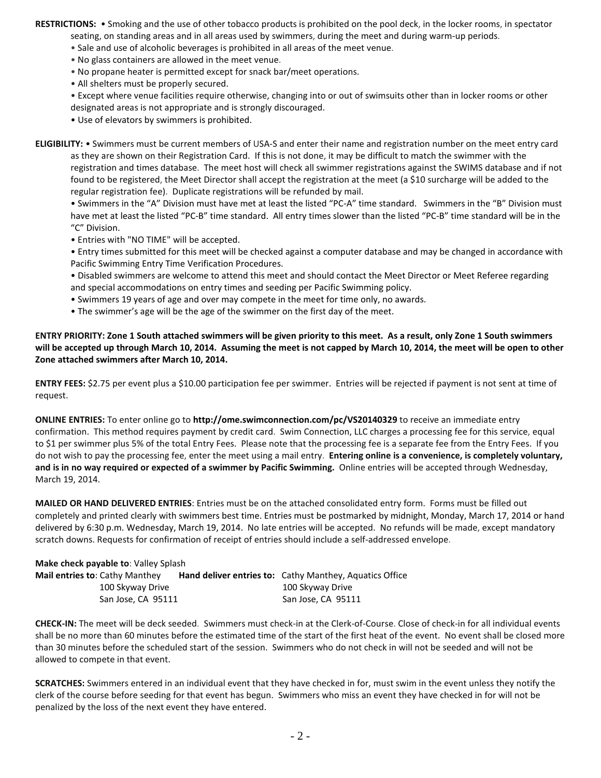**RESTRICTIONS:** • Smoking and the use of other tobacco products is prohibited on the pool deck, in the locker rooms, in spectator seating, on standing areas and in all areas used by swimmers, during the meet and during warm-up periods.

- Sale and use of alcoholic beverages is prohibited in all areas of the meet venue.
- No glass containers are allowed in the meet venue.
- No propane heater is permitted except for snack bar/meet operations.
- All shelters must be properly secured.

• Except where venue facilities require otherwise, changing into or out of swimsuits other than in locker rooms or other designated areas is not appropriate and is strongly discouraged.

• Use of elevators by swimmers is prohibited.

**ELIGIBILITY:** • Swimmers must be current members of USA-S and enter their name and registration number on the meet entry card as they are shown on their Registration Card. If this is not done, it may be difficult to match the swimmer with the registration and times database. The meet host will check all swimmer registrations against the SWIMS database and if not found to be registered, the Meet Director shall accept the registration at the meet (a \$10 surcharge will be added to the regular registration fee). Duplicate registrations will be refunded by mail.

• Swimmers in the "A" Division must have met at least the listed "PC-A" time standard. Swimmers in the "B" Division must have met at least the listed "PC-B" time standard. All entry times slower than the listed "PC-B" time standard will be in the "C" Division.

- Entries with "NO TIME" will be accepted.
- Entry times submitted for this meet will be checked against a computer database and may be changed in accordance with Pacific Swimming Entry Time Verification Procedures.

• Disabled swimmers are welcome to attend this meet and should contact the Meet Director or Meet Referee regarding and special accommodations on entry times and seeding per Pacific Swimming policy.

- Swimmers 19 years of age and over may compete in the meet for time only, no awards.
- The swimmer's age will be the age of the swimmer on the first day of the meet.

**ENTRY PRIORITY: Zone 1 South attached swimmers will be given priority to this meet. As a result, only Zone 1 South swimmers will be accepted up through March 10, 2014. Assuming the meet is not capped by March 10, 2014, the meet will be open to other Zone attached swimmers after March 10, 2014.**

**ENTRY FEES:** \$2.75 per event plus a \$10.00 participation fee per swimmer. Entries will be rejected if payment is not sent at time of request.

**ONLINE ENTRIES:** To enter online go to **http://ome.swimconnection.com/pc/VS20140329** to receive an immediate entry confirmation. This method requires payment by credit card. Swim Connection, LLC charges a processing fee for this service, equal to \$1 per swimmer plus 5% of the total Entry Fees. Please note that the processing fee is a separate fee from the Entry Fees. If you do not wish to pay the processing fee, enter the meet using a mail entry. **Entering online is a convenience, is completely voluntary, and is in no way required or expected of a swimmer by Pacific Swimming.** Online entries will be accepted through Wednesday, March 19, 2014.

**MAILED OR HAND DELIVERED ENTRIES**: Entries must be on the attached consolidated entry form. Forms must be filled out completely and printed clearly with swimmers best time. Entries must be postmarked by midnight, Monday, March 17, 2014 or hand delivered by 6:30 p.m. Wednesday, March 19, 2014. No late entries will be accepted. No refunds will be made, except mandatory scratch downs. Requests for confirmation of receipt of entries should include a self-addressed envelope.

#### **Make check payable to**: Valley Splash

| <b>Mail entries to: Cathy Manthey</b> | <b>Hand deliver entries to:</b> Cathy Manthey, Aquatics Office |  |
|---------------------------------------|----------------------------------------------------------------|--|
| 100 Skyway Drive                      | 100 Skyway Drive                                               |  |
| San Jose, CA 95111                    | San Jose, CA 95111                                             |  |

**CHECK-IN:** The meet will be deck seeded. Swimmers must check-in at the Clerk-of-Course. Close of check-in for all individual events shall be no more than 60 minutes before the estimated time of the start of the first heat of the event. No event shall be closed more than 30 minutes before the scheduled start of the session. Swimmers who do not check in will not be seeded and will not be allowed to compete in that event.

**SCRATCHES:** Swimmers entered in an individual event that they have checked in for, must swim in the event unless they notify the clerk of the course before seeding for that event has begun. Swimmers who miss an event they have checked in for will not be penalized by the loss of the next event they have entered.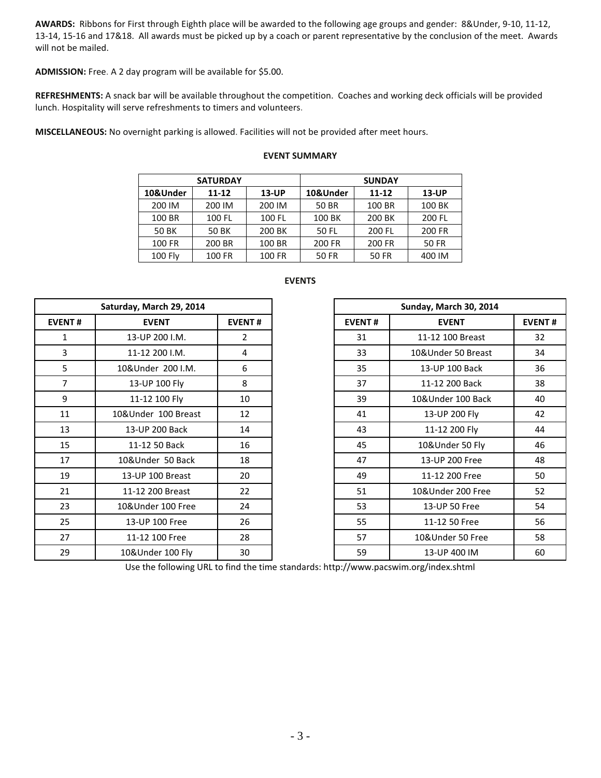**AWARDS:** Ribbons for First through Eighth place will be awarded to the following age groups and gender: 8&Under, 9-10, 11-12, 13-14, 15-16 and 17&18. All awards must be picked up by a coach or parent representative by the conclusion of the meet. Awards will not be mailed.

**ADMISSION:** Free. A 2 day program will be available for \$5.00.

**REFRESHMENTS:** A snack bar will be available throughout the competition. Coaches and working deck officials will be provided lunch. Hospitality will serve refreshments to timers and volunteers.

**MISCELLANEOUS:** No overnight parking is allowed. Facilities will not be provided after meet hours.

## **EVENT SUMMARY**

|           | <b>SATURDAY</b> |          | <b>SUNDAY</b> |           |          |  |  |  |
|-----------|-----------------|----------|---------------|-----------|----------|--|--|--|
| 10&Under  | $11 - 12$       | $13$ -UP | 10&Under      | $11 - 12$ | $13$ -UP |  |  |  |
| 200 IM    | 200 IM          | 200 IM   | 50 BR         | 100 BR    | 100 BK   |  |  |  |
| 100 BR    | 100 FL          | 100 FL   | 100 BK        | 200 BK    | 200 FL   |  |  |  |
| 50 BK     | 50 BK           | 200 BK   | 50 FL         | 200 FL    | 200 FR   |  |  |  |
| 100 FR    | 200 BR          | 100 BR   | 200 FR        | 200 FR    | 50 FR    |  |  |  |
| $100$ Fly | 100 FR          | 100 FR   | 50 FR         | 50 FR     | 400 IM   |  |  |  |

|                | Saturday, March 29, 2014 |                |               | Sunday, March 30, 2014 |               |
|----------------|--------------------------|----------------|---------------|------------------------|---------------|
| <b>EVENT#</b>  | <b>EVENT</b>             | <b>EVENT#</b>  | <b>EVENT#</b> | <b>EVENT</b>           | <b>EVENT#</b> |
| 1              | 13-UP 200 I.M.           | $\overline{2}$ | 31            | 11-12 100 Breast       | 32            |
| 3              | 11-12 200 I.M.           | 4              | 33            | 10&Under 50 Breast     | 34            |
| 5              | 10&Under 200 I.M.        | 6              | 35            | 13-UP 100 Back         | 36            |
| $\overline{7}$ | 13-UP 100 Fly            | 8              | 37            | 11-12 200 Back         | 38            |
| 9              | 11-12 100 Fly            | 10             | 39            | 10&Under 100 Back      | 40            |
| 11             | 10&Under 100 Breast      | 12             | 41            | 13-UP 200 Fly          | 42            |
| 13             | 13-UP 200 Back           | 14             | 43            | 11-12 200 Fly          | 44            |
| 15             | 11-12 50 Back            | 16             | 45            | 10&Under 50 Fly        | 46            |
| 17             | 10&Under 50 Back         | 18             | 47            | 13-UP 200 Free         | 48            |
| 19             | 13-UP 100 Breast         | 20             | 49            | 11-12 200 Free         | 50            |
| 21             | 11-12 200 Breast         | 22             | 51            | 10&Under 200 Free      | 52            |
| 23             | 10&Under 100 Free        | 24             | 53            | 13-UP 50 Free          | 54            |
| 25             | 13-UP 100 Free           | 26             | 55            | 11-12 50 Free          | 56            |
| 27             | 11-12 100 Free           | 28             | 57            | 10&Under 50 Free       | 58            |
| 29             | 10&Under 100 Fly         | 30             | 59            | 13-UP 400 IM           | 60            |

# **EVENTS**

|                 | Saturday, March 29, 2014 |               |
|-----------------|--------------------------|---------------|
| NT#             | <b>EVENT</b>             | <b>EVENT#</b> |
| 1               | 13-UP 200 I.M.           | 2             |
| 3               | 11-12 200 I.M.           | 4             |
|                 | 10&Under 200 I.M.        | 6             |
|                 | 13-UP 100 Fly            | 8             |
|                 | 11-12 100 Fly            | 10            |
| $\overline{1}$  | 10&Under 100 Breast      | 12            |
| L3              | 13-UP 200 Back           | 14            |
| L5              | 11-12 50 Back            | 16            |
|                 | 10&Under 50 Back         | 18            |
|                 | 13-UP 100 Breast         | 20            |
| $\overline{21}$ | 11-12 200 Breast         | 22            |
| 23              | 10&Under 100 Free        | 24            |
| 25              | 13-UP 100 Free           | 26            |
|                 | 11-12 100 Free           | 28            |
| و.              | 10&Under 100 Fly         | 30            |

Use the following URL to find the time standards: http://www.pacswim.org/index.shtml